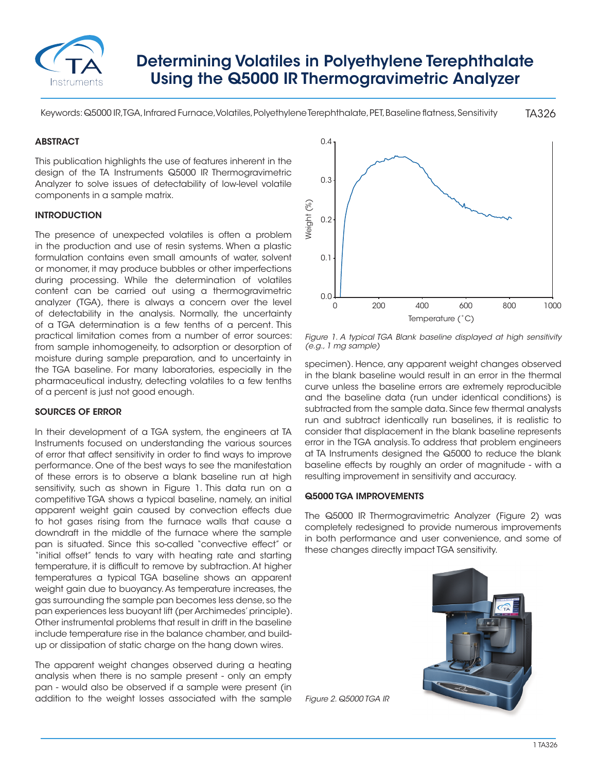

# Determining Volatiles in Polyethylene Terephthalate Using the Q5000 IR Thermogravimetric Analyzer

TA326 Keywords: Q5000 IR, TGA, Infrared Furnace, Volatiles, Polyethylene Terephthalate, PET, Baseline flatness, Sensitivity

## **ABSTRACT**

This publication highlights the use of features inherent in the design of the TA Instruments Q5000 IR Thermogravimetric Analyzer to solve issues of detectability of low-level volatile components in a sample matrix.

## INTRODUCTION

The presence of unexpected volatiles is often a problem in the production and use of resin systems. When a plastic formulation contains even small amounts of water, solvent or monomer, it may produce bubbles or other imperfections during processing. While the determination of volatiles content can be carried out using a thermogravimetric analyzer (TGA), there is always a concern over the level of detectability in the analysis. Normally, the uncertainty of a TGA determination is a few tenths of a percent. This practical limitation comes from a number of error sources: from sample inhomogeneity, to adsorption or desorption of moisture during sample preparation, and to uncertainty in the TGA baseline. For many laboratories, especially in the pharmaceutical industry, detecting volatiles to a few tenths of a percent is just not good enough.

### SOURCES OF ERROR

In their development of a TGA system, the engineers at TA Instruments focused on understanding the various sources of error that affect sensitivity in order to find ways to improve performance. One of the best ways to see the manifestation of these errors is to observe a blank baseline run at high sensitivity, such as shown in Figure 1. This data run on a competitive TGA shows a typical baseline, namely, an initial apparent weight gain caused by convection effects due to hot gases rising from the furnace walls that cause a downdraft in the middle of the furnace where the sample pan is situated. Since this so-called "convective effect" or "initial offset" tends to vary with heating rate and starting temperature, it is difficult to remove by subtraction. At higher temperatures a typical TGA baseline shows an apparent weight gain due to buoyancy. As temperature increases, the gas surrounding the sample pan becomes less dense, so the pan experiences less buoyant lift (per Archimedes' principle). Other instrumental problems that result in drift in the baseline include temperature rise in the balance chamber, and buildup or dissipation of static charge on the hang down wires.

The apparent weight changes observed during a heating analysis when there is no sample present - only an empty pan - would also be observed if a sample were present (in addition to the weight losses associated with the sample



*Figure 1. A typical TGA Blank baseline displayed at high sensitivity (e.g., 1 mg sample)*

specimen). Hence, any apparent weight changes observed in the blank baseline would result in an error in the thermal curve unless the baseline errors are extremely reproducible and the baseline data (run under identical conditions) is subtracted from the sample data. Since few thermal analysts run and subtract identically run baselines, it is realistic to consider that displacement in the blank baseline represents error in the TGA analysis. To address that problem engineers at TA Instruments designed the Q5000 to reduce the blank baseline effects by roughly an order of magnitude - with a resulting improvement in sensitivity and accuracy.

#### Q5000 TGA IMPROVEMENTS

The Q5000 IR Thermogravimetric Analyzer (Figure 2) was completely redesigned to provide numerous improvements in both performance and user convenience, and some of these changes directly impact TGA sensitivity.



*Figure 2. Q5000 TGA IR*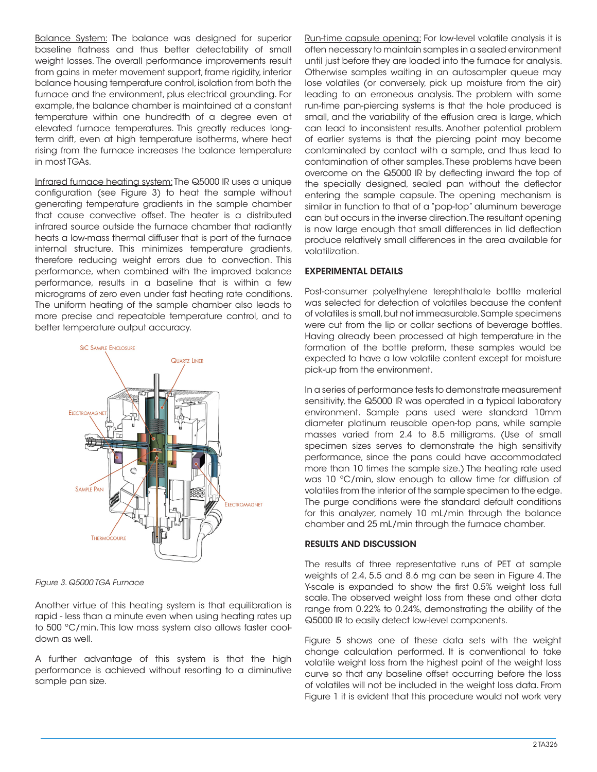Balance System: The balance was designed for superior baseline flatness and thus better detectability of small weight losses. The overall performance improvements result from gains in meter movement support, frame rigidity, interior balance housing temperature control, isolation from both the furnace and the environment, plus electrical grounding. For example, the balance chamber is maintained at a constant temperature within one hundredth of a degree even at elevated furnace temperatures. This greatly reduces longterm drift, even at high temperature isotherms, where heat rising from the furnace increases the balance temperature in most TGAs.

Infrared furnace heating system: The Q5000 IR uses a unique configuration (see Figure 3) to heat the sample without generating temperature gradients in the sample chamber that cause convective offset. The heater is a distributed infrared source outside the furnace chamber that radiantly heats a low-mass thermal diffuser that is part of the furnace internal structure. This minimizes temperature gradients, therefore reducing weight errors due to convection. This performance, when combined with the improved balance performance, results in a baseline that is within a few micrograms of zero even under fast heating rate conditions. The uniform heating of the sample chamber also leads to more precise and repeatable temperature control, and to better temperature output accuracy.



*Figure 3. Q5000 TGA Furnace*

Another virtue of this heating system is that equilibration is rapid - less than a minute even when using heating rates up to 500 ºC/min. This low mass system also allows faster cooldown as well.

A further advantage of this system is that the high performance is achieved without resorting to a diminutive sample pan size.

Run-time capsule opening: For low-level volatile analysis it is often necessary to maintain samples in a sealed environment until just before they are loaded into the furnace for analysis. Otherwise samples waiting in an autosampler queue may lose volatiles (or conversely, pick up moisture from the air) leading to an erroneous analysis. The problem with some run-time pan-piercing systems is that the hole produced is small, and the variability of the effusion area is large, which can lead to inconsistent results. Another potential problem of earlier systems is that the piercing point may become contaminated by contact with a sample, and thus lead to contamination of other samples. These problems have been overcome on the Q5000 IR by deflecting inward the top of the specially designed, sealed pan without the deflector entering the sample capsule. The opening mechanism is similar in function to that of a "pop-top" aluminum beverage can but occurs in the inverse direction. The resultant opening is now large enough that small differences in lid deflection produce relatively small differences in the area available for volatilization.

## EXPERIMENTAL DETAILS

Post-consumer polyethylene terephthalate bottle material was selected for detection of volatiles because the content of volatiles is small, but not immeasurable. Sample specimens were cut from the lip or collar sections of beverage bottles. Having already been processed at high temperature in the formation of the bottle preform, these samples would be expected to have a low volatile content except for moisture pick-up from the environment.

In a series of performance tests to demonstrate measurement sensitivity, the Q5000 IR was operated in a typical laboratory environment. Sample pans used were standard 10mm diameter platinum reusable open-top pans, while sample masses varied from 2.4 to 8.5 milligrams. (Use of small specimen sizes serves to demonstrate the high sensitivity performance, since the pans could have accommodated more than 10 times the sample size.) The heating rate used was 10 ºC/min, slow enough to allow time for diffusion of volatiles from the interior of the sample specimen to the edge. The purge conditions were the standard default conditions for this analyzer, namely 10 mL/min through the balance chamber and 25 mL/min through the furnace chamber.

# RESULTS AND DISCUSSION

The results of three representative runs of PET at sample weights of 2.4, 5.5 and 8.6 mg can be seen in Figure 4. The Y-scale is expanded to show the first 0.5% weight loss full scale. The observed weight loss from these and other data range from 0.22% to 0.24%, demonstrating the ability of the Q5000 IR to easily detect low-level components.

Figure 5 shows one of these data sets with the weight change calculation performed. It is conventional to take volatile weight loss from the highest point of the weight loss curve so that any baseline offset occurring before the loss of volatiles will not be included in the weight loss data. From Figure 1 it is evident that this procedure would not work very